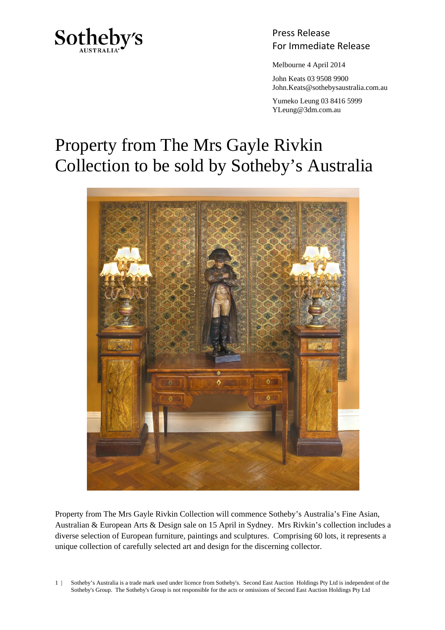

Press Release Sotheby's<br>For Immediate Release

Melbourne 4 April 2014

 John Keats 03 9508 9900 John.Keats@sothebysaustralia.com.au

 Yumeko Leung 03 8416 5999 YLeung@3dm.com.au

## Property from The Mrs Gayle Rivkin Collection to be sold by Sotheby's Australia



Property from The Mrs Gayle Rivkin Collection will commence Sotheby's Australia's Fine Asian, Australian & European Arts & Design sale on 15 April in Sydney. Mrs Rivkin's collection includes a diverse selection of European furniture, paintings and sculptures. Comprising 60 lots, it represents a unique collection of carefully selected art and design for the discerning collector.

1 | Sotheby's Australia is a trade mark used under licence from Sotheby's. Second East Auction Holdings Pty Ltd is independent of the Sotheby's Group. The Sotheby's Group is not responsible for the acts or omissions of Second East Auction Holdings Pty Ltd